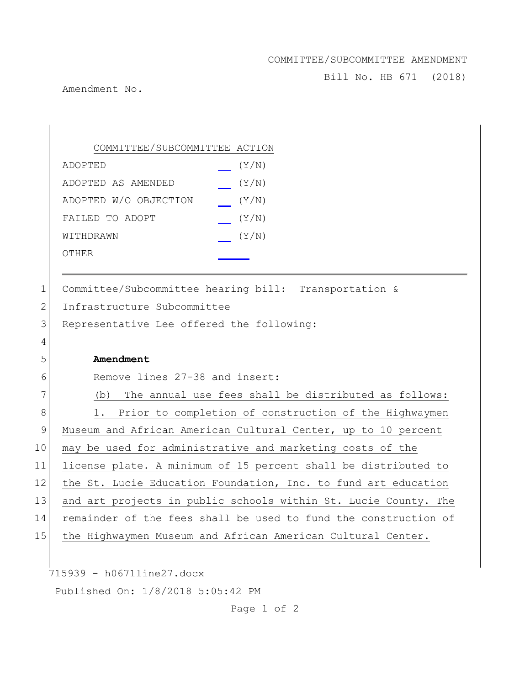## COMMITTEE/SUBCOMMITTEE AMENDMENT

Bill No. HB 671 (2018)

Amendment No.

|               | COMMITTEE/SUBCOMMITTEE ACTION                                   |
|---------------|-----------------------------------------------------------------|
|               | (Y/N)<br>ADOPTED                                                |
|               | (Y/N)<br>ADOPTED AS AMENDED                                     |
|               | ADOPTED W/O OBJECTION<br>(Y/N)                                  |
|               | FAILED TO ADOPT<br>(Y/N)                                        |
|               | (Y/N)<br>WITHDRAWN                                              |
|               | <b>OTHER</b>                                                    |
|               |                                                                 |
| 1             | Committee/Subcommittee hearing bill: Transportation &           |
| $\mathbf{2}$  | Infrastructure Subcommittee                                     |
| 3             | Representative Lee offered the following:                       |
| 4             |                                                                 |
| 5             | Amendment                                                       |
| 6             | Remove lines 27-38 and insert:                                  |
| 7             | The annual use fees shall be distributed as follows:<br>(b)     |
| 8             | 1. Prior to completion of construction of the Highwaymen        |
| $\mathcal{G}$ | Museum and African American Cultural Center, up to 10 percent   |
| 10            | may be used for administrative and marketing costs of the       |
| 11            | license plate. A minimum of 15 percent shall be distributed to  |
| 12            | the St. Lucie Education Foundation, Inc. to fund art education  |
| 13            | and art projects in public schools within St. Lucie County. The |
| 14            | remainder of the fees shall be used to fund the construction of |
| 15            | the Highwaymen Museum and African American Cultural Center.     |
|               |                                                                 |
|               | 715939 - h0671line27.docx                                       |
|               | Published On: 1/8/2018 5:05:42 PM                               |

Page 1 of 2